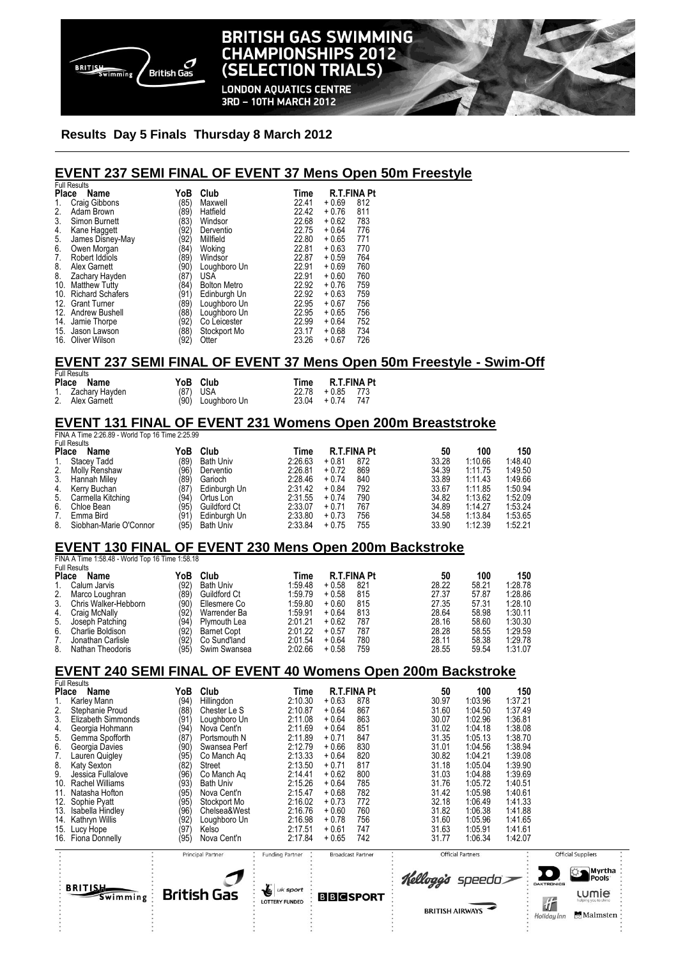

# **BRITISH GAS SWIMMING CHAMPIONSHIPS 2012** (SELECTION TRIALS)

**LONDON AQUATICS CENTRE** 3RD - 10TH MARCH 2012

#### **Results Day 5 Finals Thursday 8 March 2012**

## **EVENT 237 SEMI FINAL OF EVENT 37 Mens Open 50m Freestyle**

|                  | <b>Full Results</b>  |                      |                     |       |         |                    |
|------------------|----------------------|----------------------|---------------------|-------|---------|--------------------|
| Place            | Name                 | YoB                  | Club                | Time  |         | <b>R.T.FINA Pt</b> |
| 1.               | Craig Gibbons        | (85)                 | Maxwell             | 22.41 | $+0.69$ | 812                |
| 2.               | Adam Brown           | (89)                 | Hatfield            | 22.42 | $+0.76$ | 811                |
| 3.               | Simon Burnett        | $ 83\rangle$         | Windsor             | 22.68 | $+0.62$ | 783                |
| 4.               | Kane Haggett         | '92)                 | Derventio           | 22.75 | $+0.64$ | 776                |
|                  | James Disney-May     | '92)                 | Millfield           | 22.80 | $+0.65$ | 771                |
| 5.<br>6.         | Owen Morgan          | '84)                 | Woking              | 22.81 | $+0.63$ | 770                |
| 7.               | Robert Iddiols       | (89)                 | Windsor             | 22.87 | $+0.59$ | 764                |
| $\overline{8}$ . | Alex Garnett         | (90)                 | Loughboro Un        | 22.91 | $+0.69$ | 760                |
| 8.               | Zachary Hayden       | (87)                 | <b>USA</b>          | 22.91 | $+0.60$ | 760                |
| 10.              | <b>Matthew Tutty</b> | $\langle 84 \rangle$ | <b>Bolton Metro</b> | 22.92 | $+0.76$ | 759                |
|                  | 10. Richard Schafers | (91)                 | Edinburgh Un        | 22.92 | $+0.63$ | 759                |
|                  | 12. Grant Turner     | (89)                 | Loughboro Un        | 22.95 | $+0.67$ | 756                |
|                  | 12. Andrew Bushell   | (88)                 | Loughboro Un        | 22.95 | $+0.65$ | 756                |
| 14.              | Jamie Thorpe         | '92)                 | Co Leicester        | 22.99 | $+0.64$ | 752                |
| 15.              | Jason Lawson         | (88                  | Stockport Mo        | 23.17 | $+0.68$ | 734                |
|                  | 16. Oliver Wilson    | (92)                 | Otter               | 23.26 | $+0.67$ | 726                |

#### **EVENT 237 SEMI FINAL OF EVENT 37 Mens Open 50m Freestyle - Swim-Off**

Full Results **Place Name YoB Club Time R.T.FINA Pt** 1. Zachary Hayden (87) USA 22.78 + 0.85 773 2. Alex Gamett (90) Loughboro Un 23.04

#### **EVENT 131 FINAL OF EVENT 231 Womens Open 200m Breaststroke**  FINA A Time 2:26.89 - World Top 16 Time 2:25.99

Full Results

|              | טוויטטאו ווע           |      |                  |         |         |                    |       |         |         |
|--------------|------------------------|------|------------------|---------|---------|--------------------|-------|---------|---------|
| <b>Place</b> | Name                   | YoB  | Club             | Time    |         | <b>R.T.FINA Pt</b> | 50    | 100     | 150     |
| 1.           | Stacey Tadd            | (89  | <b>Bath Univ</b> | 2:26.63 | $+0.81$ | 872                | 33.28 | 1:10.66 | 1:48.40 |
| 2.           | Molly Renshaw          | (96) | Derventio        | 2:26.81 | $+0.72$ | 869                | 34.39 | 1:11.75 | 1:49.50 |
| 3.           | Hannah Miley           | (89  | Garioch          | 2:28.46 | $+0.74$ | 840                | 33.89 | 1:11.43 | 1:49.66 |
|              | 4. Kerry Buchan        | (87) | Edinburgh Un     | 2:31.42 | $+0.84$ | 792                | 33.67 | 1:11.85 | 1:50.94 |
|              | 5. Carmella Kitching   | (94) | Ortus Lon        | 2:31.55 | $+0.74$ | 790                | 34.82 | 1:13.62 | 1:52.09 |
| 6.           | Chloe Bean             | (95) | Guildford Ct     | 2:33.07 | $+0.71$ | 767                | 34.89 | 1:14.27 | 1:53.24 |
| 7.           | Emma Bird              | (91) | Edinburgh Un     | 2:33.80 | $+0.73$ | 756                | 34.58 | 1:13.84 | 1:53.65 |
| 8.           | Siobhan-Marie O'Connor | (95) | <b>Bath Univ</b> | 2:33.84 | $+0.75$ | 755                | 33.90 | 1:12.39 | 1:52.21 |
|              |                        |      |                  |         |         |                    |       |         |         |

## **EVENT 130 FINAL OF EVENT 230 Mens Open 200m Backstroke**

FINA A Time 1:58.48 - World Top 16 Time 1:58.18

| Name                 | YoB                                       | Club               | Time    |         |     | 50                 | 100   | 150     |
|----------------------|-------------------------------------------|--------------------|---------|---------|-----|--------------------|-------|---------|
| Calum Jarvis         | (92)                                      | <b>Bath Univ</b>   | 1:59.48 | $+0.58$ | 821 | 28.22              | 58.21 | 1:28.78 |
| Marco Loughran       | (89)                                      | Guildford Ct       | 1:59.79 | $+0.58$ | 815 | 27.37              | 57.87 | 1:28.86 |
| Chris Walker-Hebborn | (90)                                      | Ellesmere Co       | 1:59.80 | $+0.60$ | 815 | 27.35              | 57.31 | 1:28.10 |
| Craig McNally        | (92)                                      | Warrender Ba       | 1:59.91 | $+0.64$ | 813 | 28.64              | 58.98 | 1:30.11 |
| Joseph Patching      | (94)                                      | Plymouth Lea       | 2:01.21 | $+0.62$ | 787 | 28.16              | 58.60 | 1:30.30 |
| Charlie Boldison     | (92)                                      | <b>Barnet Copt</b> | 2:01.22 | $+0.57$ | 787 | 28.28              | 58.55 | 1:29.59 |
| Jonathan Carlisle    | (92)                                      | Co Sund'land       | 2:01.54 | $+0.64$ | 780 | 28.11              | 58.38 | 1:29.78 |
| Nathan Theodoris     | (95)                                      | Swim Swansea       | 2:02.66 | $+0.58$ | 759 | 28.55              | 59.54 | 1:31.07 |
|                      | <b>Full Results</b><br><b>Place</b><br>5. |                    |         |         |     | <b>R.T.FINA Pt</b> |       |         |

#### **EVENT 240 SEMI FINAL OF EVENT 40 Womens Open 200m Backstroke**

| <b>Full Results</b>           |      |                    |                        |                 |                          |                        |                          |         |       |
|-------------------------------|------|--------------------|------------------------|-----------------|--------------------------|------------------------|--------------------------|---------|-------|
| <b>Place</b><br>Name          | YoB  | Club               | Time                   |                 | <b>R.T.FINA Pt</b>       | 50                     | 100                      | 150     |       |
| Karley Mann                   | (94  | Hillingdon         | 2:10.30                | $+0.63$         | 878                      | 30.97                  | 1:03.96                  | 1:37.21 |       |
| 2.<br>Stephanie Proud         | (88  | Chester Le S       | 2:10.87                | $+0.64$         | 867                      | 31.60                  | 1:04.50                  | 1:37.49 |       |
| 3.<br>Elizabeth Simmonds      | ί91  | Loughboro Un       | 2:11.08                | $+0.64$         | 863                      | 30.07                  | 1:02.96                  | 1:36.81 |       |
| 4.<br>Georgia Hohmann         | (94  | Nova Cent'n        | 2:11.69                | $+0.64$         | 851                      | 31.02                  | 1:04.18                  | 1:38.08 |       |
| 5.<br>Gemma Spofforth         | (87  | Portsmouth N       | 2:11.89                | $+0.71$         | 847                      | 31.35                  | 1:05.13                  | 1:38.70 |       |
| 6.<br>Georgia Davies          | (90' | Swansea Perf       | 2:12.79                | $+0.66$         | 830                      | 31.01                  | 1:04.56                  | 1:38.94 |       |
| 7.<br>Lauren Quigley          | (95  | Co Manch Ag        | 2:13.33                | $+0.64$         | 820                      | 30.82                  | 1:04.21                  | 1:39.08 |       |
| 8.<br>Katy Sexton             | (82  | Street             | 2:13.50                | $+0.71$         | 817                      | 31.18                  | 1:05.04                  | 1:39.90 |       |
| 9.<br>Jessica Fullalove       | (96  | Co Manch Ag        | 2:14.41                | $+0.62$         | 800                      | 31.03                  | 1:04.88                  | 1:39.69 |       |
| 10.<br><b>Rachel Williams</b> | (93  | <b>Bath Univ</b>   | 2:15.26                | $+0.64$         | 785                      | 31.76                  | 1:05.72                  | 1:40.51 |       |
| Natasha Hofton<br>11.         | ΄95  | Nova Cent'n        | 2:15.47                | $+0.68$         | 782                      | 31.42                  | 1:05.98                  | 1:40.61 |       |
| 12.<br>Sophie Pyatt           | 95   | Stockport Mo       | 2:16.02                | $+0.73$         | 772                      | 32.18                  | 1:06.49                  | 1:41.33 |       |
| 13.<br>Isabella Hindley       | (96  | Chelsea&West       | 2:16.76                | $+0.60$         | 760                      | 31.82                  | 1:06.38                  | 1:41.88 |       |
| Kathryn Willis<br>14.         | 92   | Loughboro Un       | 2:16.98                | $+0.78$         | 756                      | 31.60                  | 1:05.96                  | 1:41.65 |       |
| 15.<br>Lucy Hope              | Ì97  | Kelso              | 2:17.51                | $+0.61$         | 747                      | 31.63                  | 1:05.91                  | 1:41.61 |       |
| 16.<br>Fiona Donnelly         | (95  | Nova Cent'n        | 2:17.84                | $+0.65$         | 742                      | 31.77                  | 1:06.34                  | 1:42.07 |       |
|                               |      | Principal Partner  | <b>Funding Partner</b> |                 | <b>Broadcast Partner</b> |                        | <b>Official Partners</b> |         | Offic |
|                               |      |                    |                        |                 |                          |                        |                          |         |       |
|                               |      |                    |                        |                 |                          | Kellogg's speeda>      |                          |         | D)    |
| <b>BRITIS品</b>                |      |                    | <b>Les</b> uk sport    |                 |                          |                        |                          |         |       |
| Swimming                      |      | <b>British Gas</b> | <b>LOTTERY FUNDED</b>  | <b>BBCSPORT</b> |                          |                        |                          |         |       |
|                               |      |                    |                        |                 |                          | <b>BRITISH AIRWAYS</b> |                          |         | 近     |

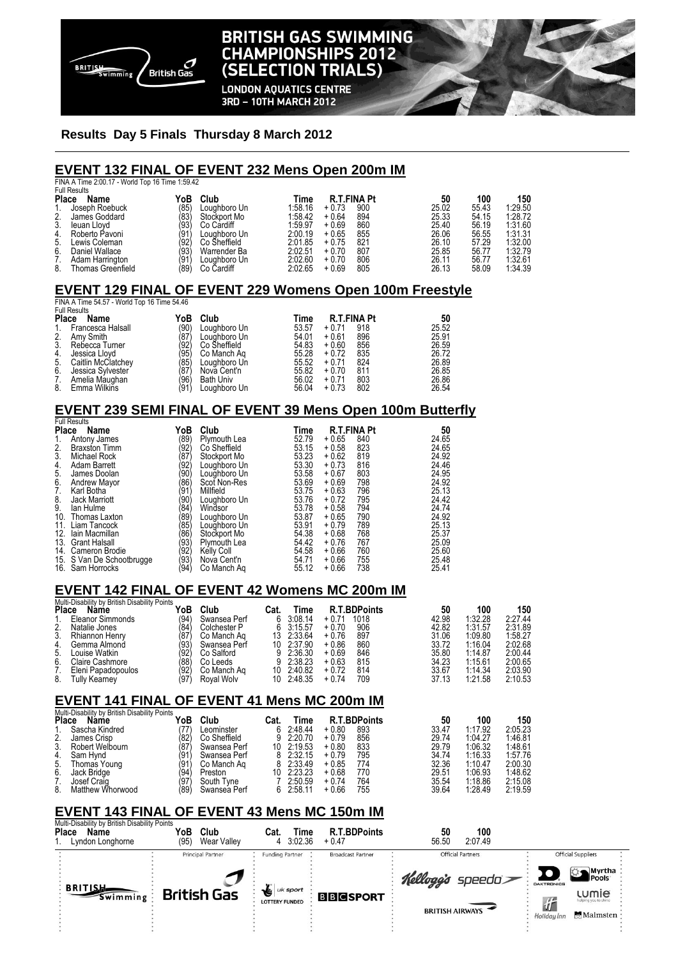

# **BRITISH GAS SWIMMING CHAMPIONSHIPS 2012** (SELECTION TRIALS)

**LONDON AQUATICS CENTRE** 3RD - 10TH MARCH 2012

### **Results Day 5 Finals Thursday 8 March 2012**

#### **EVENT 132 FINAL OF EVENT 232 Mens Open 200m IM**

| <b>Full Results</b>      |             |              |                                                 |         |     |                    |       |         |  |
|--------------------------|-------------|--------------|-------------------------------------------------|---------|-----|--------------------|-------|---------|--|
| Name                     | YoB         | Club         | Time                                            |         |     | 50                 | 100   | 150     |  |
| Joseph Roebuck           |             | Louahboro Un | 1:58.16                                         | $+0.73$ | 900 | 25.02              | 55.43 | 1:29.50 |  |
| James Goddard            | (83)        | Stockport Mo | 1:58.42                                         | $+0.64$ | 894 | 25.33              | 54.15 | 1:28.72 |  |
| leuan Llovd              | (93)        | Co Cardiff   | 1:59.97                                         | $+0.69$ | 860 | 25.40              | 56.19 | 1:31.60 |  |
| Roberto Pavoni           | (91)        | Louahboro Un | 2:00.19                                         | $+0.65$ | 855 | 26.06              | 56.55 | 1:31.31 |  |
| Lewis Coleman            | (92)        | Co Sheffield | 2:01.85                                         | $+0.75$ | 821 | 26.10              | 57.29 | 1:32.00 |  |
| Daniel Wallace           | (93)        | Warrender Ba | 2:02.51                                         | $+0.70$ | 807 | 25.85              | 56.77 | 1:32.79 |  |
| Adam Harrington          | (91'        | Loughboro Un | 2:02.60                                         | $+0.70$ | 806 | 26.11              | 56.77 | 1:32.61 |  |
| <b>Thomas Greenfield</b> | (89)        | Co Cardiff   | 2:02.65                                         | $+0.69$ | 805 | 26.13              | 58.09 | 1:34.39 |  |
|                          | Place<br>2. | (85)         | FINA A Time 2:00.17 - World Top 16 Time 1:59.42 |         |     | <b>R.T.FINA Pt</b> |       |         |  |

## **EVENT 129 FINAL OF EVENT 229 Womens Open 100m Freestyle**

FINA A Time 54.57 - World Top 16 Time 54.46 Full Result

| <b>Place</b> | Name               | YoB  | Club             | Time  | <b>R.T.FINA Pt</b> | 50    |
|--------------|--------------------|------|------------------|-------|--------------------|-------|
| 1.           | Francesca Halsall  | (90) | Loughboro Un     | 53.57 | 918<br>$+0.71$     | 25.52 |
| 2.           | Amy Smith          | (87) | Loughboro Un     | 54.01 | 896<br>$+0.61$     | 25.91 |
| 3.           | Rebecca Turner     | (92) | Co Sheffield     | 54.83 | 856<br>$+0.60$     | 26.59 |
| 4.           | Jessica Llovd      | (95) | Co Manch Ag      | 55.28 | 835<br>$+0.72$     | 26.72 |
| 5.           | Caitlin McClatchey | (85) | Loughboro Un     | 55.52 | 824<br>$+0.71$     | 26.89 |
| 6.           | Jessica Sylvester  | (87) | Nova Cent'n      | 55.82 | 811<br>$+0.70$     | 26.85 |
| 7.           | Amelia Maughan     | (96) | <b>Bath Univ</b> | 56.02 | 803<br>$+0.71$     | 26.86 |
| 8.           | Emma Wilkins       | (91) | Loughboro Un     | 56.04 | 802<br>$+0.73$     | 26.54 |

## **EVENT 239 SEMI FINAL OF EVENT 39 Mens Open 100m Butterfly**

|       | <b>Full Results</b>       |      |              |       |                    |     |       |
|-------|---------------------------|------|--------------|-------|--------------------|-----|-------|
| Place | Name                      | YoB  | Club         | Time  | <b>R.T.FINA Pt</b> |     | 50    |
| 1.    | Antony James              | (89) | Plymouth Lea | 52.79 | $+0.65$            | 840 | 24.65 |
| 2.    | <b>Braxston Timm</b>      | (92) | Co Sheffield | 53.15 | $+0.58$            | 823 | 24.65 |
| 3.    | <b>Michael Rock</b>       | (87) | Stockport Mo | 53.23 | $+0.62$            | 819 | 24.92 |
| 4.    | Adam Barrett              | (92) | Loughboro Un | 53.30 | $+0.73$            | 816 | 24.46 |
| 5.    | James Doolan              | (90) | Loughboro Un | 53.58 | $+0.67$            | 803 | 24.95 |
| 6.    | <b>Andrew Mayor</b>       | (86) | Scot Non-Res | 53.69 | $+0.69$            | 798 | 24.92 |
| 7.    | Karl Botha                | (91) | Millfield    | 53.75 | $+0.63$            | 796 | 25.13 |
| 8.    | <b>Jack Marriott</b>      | (90) | Loughboro Un | 53.76 | $+0.72$            | 795 | 24.42 |
| 9.    | lan Hulme                 | (84) | Windsor      | 53.78 | $+0.58$            | 794 | 24.74 |
| 10.   | Thomas Laxton             | (89) | Loughboro Un | 53.87 | $+0.65$            | 790 | 24.92 |
| 11.   | Liam Tancock              | (85) | Loughboro Un | 53.91 | $+0.79$            | 789 | 25.13 |
| 12.   | lain Macmillan            | (86) | Stockport Mo | 54.38 | $+0.68$            | 768 | 25.37 |
|       | 13. Grant Halsall         | (93) | Plymouth Lea | 54.42 | $+0.76$            | 767 | 25.09 |
|       | 14. Cameron Brodie        | (92) | Kelly Coll   | 54.58 | $+0.66$            | 760 | 25.60 |
|       | 15. S Van De Schootbrugge | (93) | Nova Cent'n  | 54.71 | $+0.66$            | 755 | 25.48 |
|       | 16. Sam Horrocks          | (94) | Co Manch Ag  | 55.12 | $+0.66$            | 738 | 25.41 |

## **EVENT 142 FINAL OF EVENT 42 Womens MC 200m IM**

| Multi-Disability by British Disability Points |                    |      |              |      |            |                     |       |         |         |
|-----------------------------------------------|--------------------|------|--------------|------|------------|---------------------|-------|---------|---------|
| <b>Place</b>                                  | Name               | YoB  | Club         | Cat. | Time       | <b>R.T.BDPoints</b> | 50    | 100     | 150     |
|                                               | Eleanor Simmonds   | (94) | Swansea Perf | 6.   | 3:08.14    | 1018<br>$+0.71$     | 42.98 | 1:32.28 | 2:27.44 |
| 2.                                            | Natalie Jones      | (84) | Colchester P |      | 6 3:15.57  | 906<br>$+0.70$      | 42.82 | 1:31.57 | 2:31.89 |
| 3.                                            | Rhiannon Henry     | (87  | Co Manch Ag  | 13.  | 2:33.64    | 897<br>$+0.76$      | 31.06 | 1:09.80 | 1:58.27 |
| 4.                                            | Gemma Almond       | (93) | Swansea Perf |      | 10 2:37.90 | 860<br>$+0.86$      | 33.72 | 1:16.04 | 2:02.68 |
| 5.                                            | Louise Watkin      | '92. | Co Salford   |      | 2:36.30    | 846<br>$+0.69$      | 35.80 | 1:14.87 | 2:00.44 |
| 6.                                            | Claire Cashmore    | (88) | Co Leeds     | 9.   | 2:38.23    | 815<br>$+0.63$      | 34.23 | 1:15.61 | 2:00.65 |
|                                               | Eleni Papadopoulos | (92) | Co Manch Ag  | 10.  | 2:40.82    | 814<br>$+0.72$      | 33.67 | 1:14:34 | 2:03.90 |
| 8.                                            | Tullv Kearnev      | 197  | Roval Wolv   |      | 10 2:48.35 | 709<br>$+0.74$      | 37.13 | 1:21.58 | 2:10.53 |

## **EVENT 141 FINAL OF EVENT 41 Mens MC 200m IM**

| Multi-Disability by British Disability Points |                  |      |              |      |            |         |                     |       |         |         |
|-----------------------------------------------|------------------|------|--------------|------|------------|---------|---------------------|-------|---------|---------|
| <b>Place</b>                                  | <b>Name</b>      | YoB  | Club         | Cat. | Time       |         | <b>R.T.BDPoints</b> | 50    | 100     | 150     |
|                                               | Sascha Kindred   | .77) | Leominster   |      | 6 2:48.44  | $+0.80$ | 893                 | 33.47 | 1:17.92 | 2:05.23 |
| 2.                                            | James Crisp      | (82) | Co Sheffield |      | 9 2:20.70  | $+0.79$ | 856                 | 29.74 | 1:04.27 | 1:46.81 |
| 3.                                            | Robert Welbourn  | (87  | Swansea Perf |      | 10 2:19.53 | $+0.80$ | 833                 | 29.79 | 1:06.32 | 1:48.61 |
| 4.                                            | Sam Hynd         | 191  | Swansea Perf |      | 8 2:32.15  | $+0.79$ | 795                 | 34.74 | 1:16.33 | 1:57.76 |
| 5.                                            | Thomas Young     | (91) | Co Manch Ag  |      | 8 2:33.49  | $+0.85$ | 774                 | 32.36 | 1:10.47 | 2:00.30 |
| 6.                                            | Jack Bridge      | (94  | Preston      |      | 10 2:23.23 | $+0.68$ | 770                 | 29.51 | 1:06.93 | 1:48.62 |
|                                               | Josef Craig      | (97  | South Tyne   |      | 2:50.59    | $+0.74$ | 764                 | 35.54 | 1:18.86 | 2:15.08 |
| 8.                                            | Matthew Whorwood | '89' | Swansea Perf |      | 6 2:58.11  | $+0.66$ | 755                 | 39.64 | 1:28.49 | 2:19.59 |

## **EVENT 143 FINAL OF EVENT 43 Mens MC 150m IM**

| YoB<br>Club<br>Wear Valley<br>(95) | Time<br>Cat.<br>3:02.36<br>4               | <b>R.T.BDPoints</b><br>$+0.47$ | 100<br>50<br>2:07.49<br>56.50               |                                                                                                                           |
|------------------------------------|--------------------------------------------|--------------------------------|---------------------------------------------|---------------------------------------------------------------------------------------------------------------------------|
| Principal Partner                  | <b>Funding Partner</b>                     | <b>Broadcast Partner</b>       | <b>Official Partners</b>                    | <b>Official Suppliers</b>                                                                                                 |
| <b>British Gas</b>                 | <b>L</b> uk sport<br><b>LOTTERY FUNDED</b> | <b>BBCSPORT</b>                | Kellogg's speedo><br><b>BRITISH AIRWAYS</b> | Myrtha<br>Pools<br><b>DAKTRONICS</b><br><b>LUMIE</b><br>$\mathbf{u}$<br>helping you to shine<br>Malmsten ·<br>Holiday Inn |
|                                    |                                            |                                |                                             |                                                                                                                           |